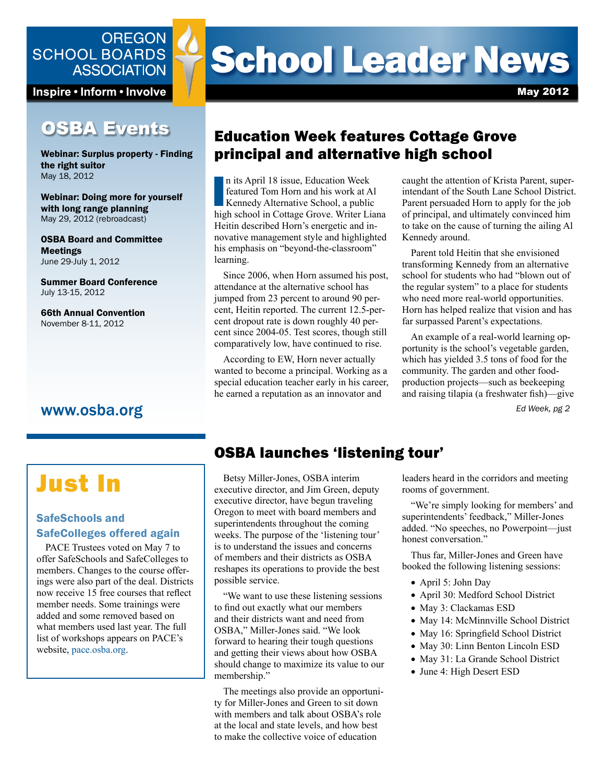

Inspire • Inform • Involve

## **OSBA Events**

Webinar: Surplus property - Finding the right suitor May 18, 2012

Webinar: Doing more for yourself with long range planning May 29, 2012 (rebroadcast)

OSBA Board and Committee Meetings June 29-July 1, 2012

Summer Board Conference July 13-15, 2012

66th Annual Convention November 8-11, 2012

### www.osba.org

# **School Leader News**

May 2012

## Education Week features Cottage Grove principal and alternative high school

n its April 18 issue, Education Week<br>featured Tom Horn and his work at Al<br>Kennedy Alternative School, a public<br>high school in Cottage Grove. Writer Liana n its April 18 issue, Education Week featured Tom Horn and his work at Al Kennedy Alternative School, a public Heitin described Horn's energetic and innovative management style and highlighted his emphasis on "beyond-the-classroom" learning.

Since 2006, when Horn assumed his post, attendance at the alternative school has jumped from 23 percent to around 90 percent, Heitin reported. The current 12.5-percent dropout rate is down roughly 40 percent since 2004-05. Test scores, though still comparatively low, have continued to rise.

According to EW, Horn never actually wanted to become a principal. Working as a special education teacher early in his career, he earned a reputation as an innovator and

caught the attention of Krista Parent, superintendant of the South Lane School District. Parent persuaded Horn to apply for the job of principal, and ultimately convinced him to take on the cause of turning the ailing Al Kennedy around.

Parent told Heitin that she envisioned transforming Kennedy from an alternative school for students who had "blown out of the regular system" to a place for students who need more real-world opportunities. Horn has helped realize that vision and has far surpassed Parent's expectations.

An example of a real-world learning opportunity is the school's vegetable garden, which has yielded 3.5 tons of food for the community. The garden and other foodproduction projects—such as beekeeping and raising tilapia (a freshwater fish)—give

*Ed Week, pg 2*

## Just In

#### SafeSchools and SafeColleges offered again

PACE Trustees voted on May 7 to offer SafeSchools and SafeColleges to members. Changes to the course offerings were also part of the deal. Districts now receive 15 free courses that reflect member needs. Some trainings were added and some removed based on what members used last year. The full list of workshops appears on PACE's website, <pace.osba.org>.

## OSBA launches 'listening tour'

Betsy Miller-Jones, OSBA interim executive director, and Jim Green, deputy executive director, have begun traveling Oregon to meet with board members and superintendents throughout the coming weeks. The purpose of the 'listening tour' is to understand the issues and concerns of members and their districts as OSBA reshapes its operations to provide the best possible service.

"We want to use these listening sessions to find out exactly what our members and their districts want and need from OSBA," Miller-Jones said. "We look forward to hearing their tough questions and getting their views about how OSBA should change to maximize its value to our membership."

The meetings also provide an opportunity for Miller-Jones and Green to sit down with members and talk about OSBA's role at the local and state levels, and how best to make the collective voice of education

leaders heard in the corridors and meeting rooms of government.

"We're simply looking for members' and superintendents' feedback," Miller-Jones added. "No speeches, no Powerpoint—just honest conversation."

Thus far, Miller-Jones and Green have booked the following listening sessions:

- April 5: John Day
- April 30: Medford School District
- May 3: Clackamas ESD
- May 14: McMinnville School District
- May 16: Springfield School District
- May 30: Linn Benton Lincoln ESD
- May 31: La Grande School District
- June 4: High Desert ESD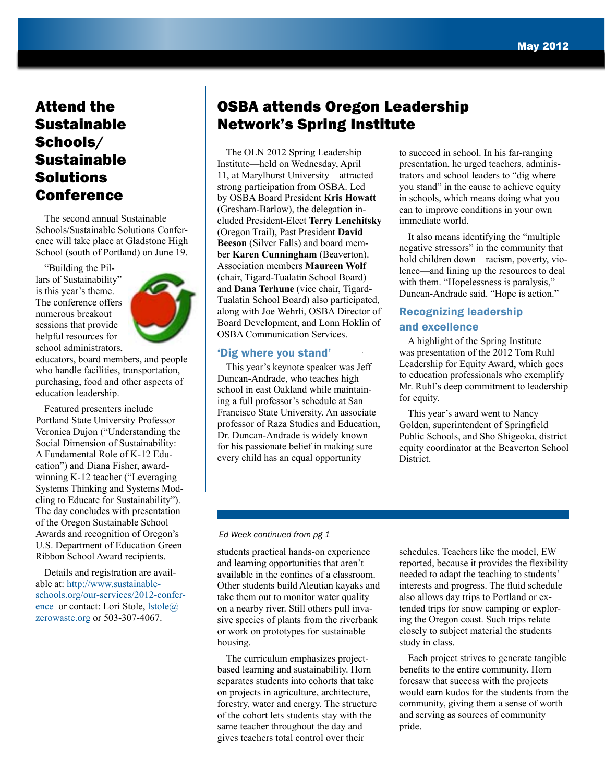## Attend the Sustainable Schools/ Sustainable Solutions Conference

The second annual Sustainable Schools/Sustainable Solutions Conference will take place at Gladstone High School (south of Portland) on June 19.

"Building the Pillars of Sustainability" is this year's theme. The conference offers numerous breakout sessions that provide helpful resources for school administrators,



educators, board members, and people who handle facilities, transportation, purchasing, food and other aspects of education leadership.

Featured presenters include Portland State University Professor Veronica Dujon ("Understanding the Social Dimension of Sustainability: A Fundamental Role of K-12 Education") and Diana Fisher, awardwinning K-12 teacher ("Leveraging Systems Thinking and Systems Modeling to Educate for Sustainability"). The day concludes with presentation of the Oregon Sustainable School Awards and recognition of Oregon's U.S. Department of Education Green Ribbon School Award recipients.

Details and registration are available at: [http://www.sustainable](http://www.sustainableschools.org/our-services/2012-conference)[schools.org/our-services/2012-confer](http://www.sustainableschools.org/our-services/2012-conference)[ence](http://www.sustainableschools.org/our-services/2012-conference) or contact: Lori Stole, [lstole@](mailto:lstole%40zerowaste.org?subject=) [zerowaste.org](mailto:lstole%40zerowaste.org?subject=) or 503-307-4067.

## OSBA attends Oregon Leadership Network's Spring Institute

The OLN 2012 Spring Leadership Institute—held on Wednesday, April 11, at Marylhurst University—attracted strong participation from OSBA. Led by OSBA Board President **Kris Howatt** (Gresham-Barlow), the delegation included President-Elect **Terry Lenchitsky** (Oregon Trail), Past President **David Beeson** (Silver Falls) and board member **Karen Cunningham** (Beaverton). Association members **Maureen Wolf** (chair, Tigard-Tualatin School Board) and **Dana Terhune** (vice chair, Tigard-Tualatin School Board) also participated, along with Joe Wehrli, OSBA Director of Board Development, and Lonn Hoklin of OSBA Communication Services.

#### 'Dig where you stand'

This year's keynote speaker was Jeff Duncan-Andrade, who teaches high school in east Oakland while maintaining a full professor's schedule at San Francisco State University. An associate professor of Raza Studies and Education, Dr. Duncan-Andrade is widely known for his passionate belief in making sure every child has an equal opportunity

to succeed in school. In his far-ranging presentation, he urged teachers, administrators and school leaders to "dig where you stand" in the cause to achieve equity in schools, which means doing what you can to improve conditions in your own immediate world.

It also means identifying the "multiple negative stressors" in the community that hold children down—racism, poverty, violence—and lining up the resources to deal with them. "Hopelessness is paralysis," Duncan-Andrade said. "Hope is action."

#### Recognizing leadership and excellence

A highlight of the Spring Institute was presentation of the 2012 Tom Ruhl Leadership for Equity Award, which goes to education professionals who exemplify Mr. Ruhl's deep commitment to leadership for equity.

This year's award went to Nancy Golden, superintendent of Springfield Public Schools, and Sho Shigeoka, district equity coordinator at the Beaverton School **District** 

#### *Ed Week continued from pg 1*

students practical hands-on experience and learning opportunities that aren't available in the confines of a classroom. Other students build Aleutian kayaks and take them out to monitor water quality on a nearby river. Still others pull invasive species of plants from the riverbank or work on prototypes for sustainable housing.

The curriculum emphasizes projectbased learning and sustainability. Horn separates students into cohorts that take on projects in agriculture, architecture, forestry, water and energy. The structure of the cohort lets students stay with the same teacher throughout the day and gives teachers total control over their

schedules. Teachers like the model, EW reported, because it provides the flexibility needed to adapt the teaching to students' interests and progress. The fluid schedule also allows day trips to Portland or extended trips for snow camping or exploring the Oregon coast. Such trips relate closely to subject material the students study in class.

Each project strives to generate tangible benefits to the entire community. Horn foresaw that success with the projects would earn kudos for the students from the community, giving them a sense of worth and serving as sources of community pride.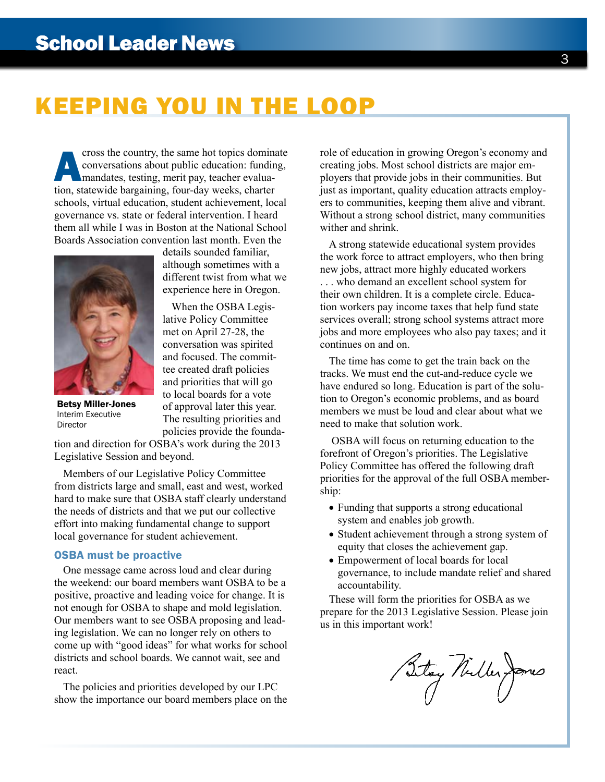## KEEPING YOU IN THE LOOP

The country, the same hot topics dominate<br>
conversations about public education: funding,<br>
mandates, testing, merit pay, teacher evalua-<br>
tion statewide bargaining four-day weeks charter conversations about public education: funding, mandates, testing, merit pay, teacher evaluation, statewide bargaining, four-day weeks, charter schools, virtual education, student achievement, local governance vs. state or federal intervention. I heard them all while I was in Boston at the National School Boards Association convention last month. Even the



details sounded familiar, although sometimes with a different twist from what we experience here in Oregon.

When the OSBA Legislative Policy Committee met on April 27-28, the conversation was spirited and focused. The committee created draft policies and priorities that will go to local boards for a vote of approval later this year. The resulting priorities and policies provide the founda-

Betsy Miller-Jones Interim Executive Director

tion and direction for OSBA's work during the 2013 Legislative Session and beyond.

Members of our Legislative Policy Committee from districts large and small, east and west, worked hard to make sure that OSBA staff clearly understand the needs of districts and that we put our collective effort into making fundamental change to support local governance for student achievement.

#### OSBA must be proactive

One message came across loud and clear during the weekend: our board members want OSBA to be a positive, proactive and leading voice for change. It is not enough for OSBA to shape and mold legislation. Our members want to see OSBA proposing and leading legislation. We can no longer rely on others to come up with "good ideas" for what works for school districts and school boards. We cannot wait, see and react.

The policies and priorities developed by our LPC show the importance our board members place on the

role of education in growing Oregon's economy and creating jobs. Most school districts are major employers that provide jobs in their communities. But just as important, quality education attracts employers to communities, keeping them alive and vibrant. Without a strong school district, many communities wither and shrink.

A strong statewide educational system provides the work force to attract employers, who then bring new jobs, attract more highly educated workers

. . . who demand an excellent school system for their own children. It is a complete circle. Education workers pay income taxes that help fund state services overall; strong school systems attract more jobs and more employees who also pay taxes; and it continues on and on.

The time has come to get the train back on the tracks. We must end the cut-and-reduce cycle we have endured so long. Education is part of the solution to Oregon's economic problems, and as board members we must be loud and clear about what we need to make that solution work.

 OSBA will focus on returning education to the forefront of Oregon's priorities. The Legislative Policy Committee has offered the following draft priorities for the approval of the full OSBA membership:

- Funding that supports a strong educational system and enables job growth.
- Student achievement through a strong system of equity that closes the achievement gap.
- Empowerment of local boards for local governance, to include mandate relief and shared accountability.

These will form the priorities for OSBA as we prepare for the 2013 Legislative Session. Please join us in this important work!

Betag Nuller James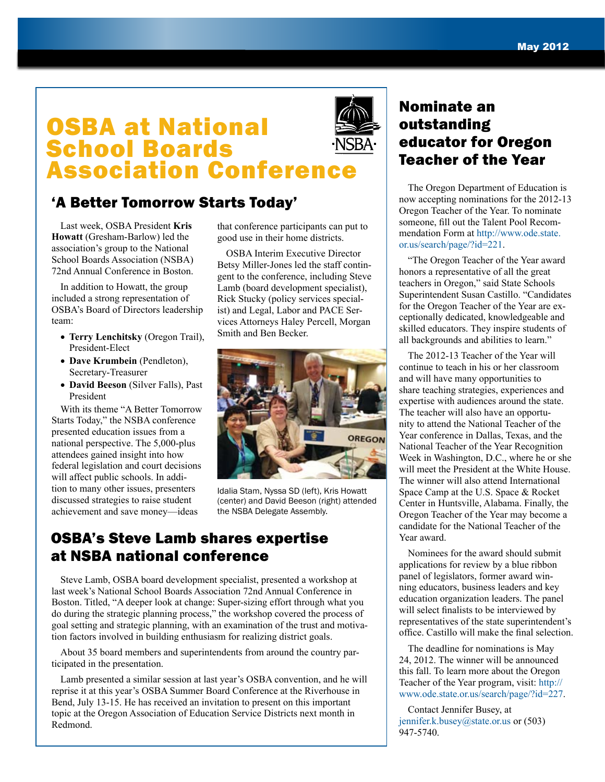## OSBA at National School Boards Association Conference

## 'A Better Tomorrow Starts Today'

Last week, OSBA President **Kris Howatt** (Gresham-Barlow) led the association's group to the National School Boards Association (NSBA) 72nd Annual Conference in Boston.

In addition to Howatt, the group included a strong representation of OSBA's Board of Directors leadership team:

- **Terry Lenchitsky** (Oregon Trail), President-Elect
- **Dave Krumbein** (Pendleton), Secretary-Treasurer
- **David Beeson** (Silver Falls), Past President

With its theme "A Better Tomorrow Starts Today," the NSBA conference presented education issues from a national perspective. The 5,000-plus attendees gained insight into how federal legislation and court decisions will affect public schools. In addition to many other issues, presenters discussed strategies to raise student achievement and save money—ideas

that conference participants can put to good use in their home districts.

OSBA Interim Executive Director Betsy Miller-Jones led the staff contingent to the conference, including Steve Lamb (board development specialist), Rick Stucky (policy services specialist) and Legal, Labor and PACE Services Attorneys Haley Percell, Morgan Smith and Ben Becker.



Idalia Stam, Nyssa SD (left), Kris Howatt (center) and David Beeson (right) attended the NSBA Delegate Assembly.

### OSBA's Steve Lamb shares expertise at NSBA national conference

Steve Lamb, OSBA board development specialist, presented a workshop at last week's National School Boards Association 72nd Annual Conference in Boston. Titled, "A deeper look at change: Super-sizing effort through what you do during the strategic planning process," the workshop covered the process of goal setting and strategic planning, with an examination of the trust and motivation factors involved in building enthusiasm for realizing district goals.

About 35 board members and superintendents from around the country participated in the presentation.

Lamb presented a similar session at last year's OSBA convention, and he will reprise it at this year's OSBA Summer Board Conference at the Riverhouse in Bend, July 13-15. He has received an invitation to present on this important topic at the Oregon Association of Education Service Districts next month in Redmond.

## Nominate an outstanding educator for Oregon Teacher of the Year

The Oregon Department of Education is now accepting nominations for the 2012-13 Oregon Teacher of the Year. To nominate someone, fill out the Talent Pool Recommendation Form at [http://www.ode.state.](http://www.ode.state.or.us/search/page/?id=221) [or.us/search/page/?id=221.](http://www.ode.state.or.us/search/page/?id=221)

"The Oregon Teacher of the Year award honors a representative of all the great teachers in Oregon," said State Schools Superintendent Susan Castillo. "Candidates for the Oregon Teacher of the Year are exceptionally dedicated, knowledgeable and skilled educators. They inspire students of all backgrounds and abilities to learn."

The 2012-13 Teacher of the Year will continue to teach in his or her classroom and will have many opportunities to share teaching strategies, experiences and expertise with audiences around the state. The teacher will also have an opportunity to attend the National Teacher of the Year conference in Dallas, Texas, and the National Teacher of the Year Recognition Week in Washington, D.C., where he or she will meet the President at the White House. The winner will also attend International Space Camp at the U.S. Space & Rocket Center in Huntsville, Alabama. Finally, the Oregon Teacher of the Year may become a candidate for the National Teacher of the Year award.

Nominees for the award should submit applications for review by a blue ribbon panel of legislators, former award winning educators, business leaders and key education organization leaders. The panel will select finalists to be interviewed by representatives of the state superintendent's office. Castillo will make the final selection.

The deadline for nominations is May 24, 2012. The winner will be announced this fall. To learn more about the Oregon Teacher of the Year program, visit: [http://](http://www.ode.state.or.us/search/page/?id=227) [www.ode.state.or.us/search/page/?id=227](http://www.ode.state.or.us/search/page/?id=227).

Contact Jennifer Busey, at [jennifer.k.busey@state.or.us](mailto:jennifer.k.busey%40state.or.us?subject=) or (503) 947-5740.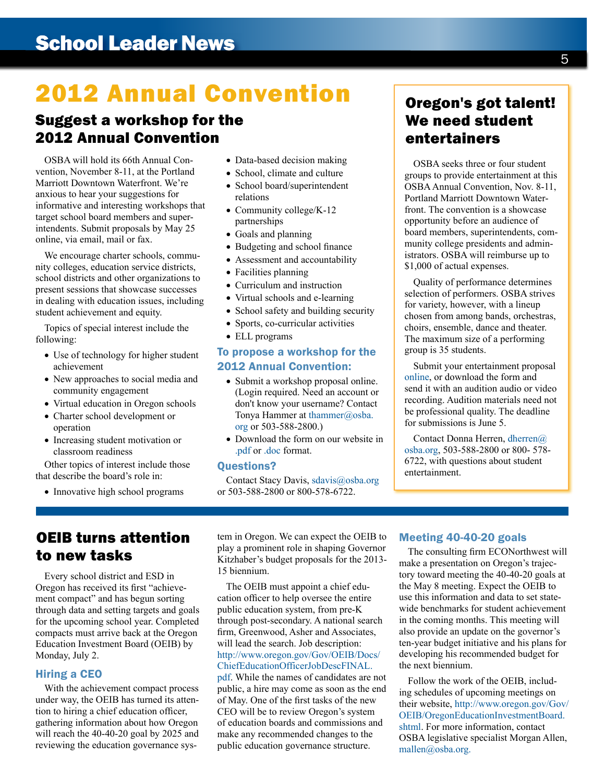## 2012 Annual Convention

### Suggest a workshop for the 2012 Annual Convention

OSBA will hold its 66th Annual Convention, November 8-11, at the Portland Marriott Downtown Waterfront. We're anxious to hear your suggestions for informative and interesting workshops that target school board members and superintendents. Submit proposals by May 25 online, via email, mail or fax.

We encourage charter schools, community colleges, education service districts, school districts and other organizations to present sessions that showcase successes in dealing with education issues, including student achievement and equity.

Topics of special interest include the following:

- Use of technology for higher student achievement
- New approaches to social media and community engagement
- Virtual education in Oregon schools
- Charter school development or operation
- Increasing student motivation or classroom readiness

Other topics of interest include those that describe the board's role in:

• Innovative high school programs

- Data-based decision making
- School, climate and culture
- School board/superintendent relations
- Community college/K-12 partnerships
- Goals and planning
- Budgeting and school finance
- Assessment and accountability
- Facilities planning
- Curriculum and instruction
- Virtual schools and e-learning
- School safety and building security
- Sports, co-curricular activities
- ELL programs

#### To propose a workshop for the 2012 Annual Convention:

- Submit a workshop proposal online. (Login required. Need an account or don't know your username? Contact Tonya Hammer at [thammer@osba.](mailto:thammer%40osba.org?subject=) [org](mailto:thammer%40osba.org?subject=) or 503-588-2800.)
- Download the form on our website in [.pdf](http://www.osba.org/~/media/Files/Event%20Materials/AC/2012/Workshop%20proposal/2012%20workshop%20proposal%20notice%20and%20form-revised.ashx) or [.doc](http://www.osba.org/~/media/Files/Event%20Materials/AC/2012/Workshop%20proposal/2012%20workshop%20proposal%20notice%20and%20form-doc.ashx) format.

#### Questions?

Contact Stacy Davis, [sdavis@osba.org](mailto:sdavis%40osba.org?subject=) or 503-588-2800 or 800-578-6722.

## Oregon's got talent! We need student entertainers

OSBA seeks three or four student groups to provide entertainment at this OSBA Annual Convention, Nov. 8-11, Portland Marriott Downtown Waterfront. The convention is a showcase opportunity before an audience of board members, superintendents, community college presidents and administrators. OSBA will reimburse up to \$1,000 of actual expenses.

Quality of performance determines selection of performers. OSBA strives for variety, however, with a lineup chosen from among bands, orchestras, choirs, ensemble, dance and theater. The maximum size of a performing group is 35 students.

Submit your entertainment proposal [online](http://www.osba.org/Calendar/Events/Annual_Convention-2012.aspx), or download the form and send it with an audition audio or video recording. Audition materials need not be professional quality. The deadline for submissions is June 5.

Contact Donna Herren, [dherren@](mailto:dherren%40osba.org?subject=) [osba.org](mailto:dherren%40osba.org?subject=), 503-588-2800 or 800- 578- 6722, with questions about student entertainment.

## OEIB turns attention to new tasks

Every school district and ESD in Oregon has received its first "achievement compact" and has begun sorting through data and setting targets and goals for the upcoming school year. Completed compacts must arrive back at the Oregon Education Investment Board (OEIB) by Monday, July 2.

#### Hiring a CEO

With the achievement compact process under way, the OEIB has turned its attention to hiring a chief education officer, gathering information about how Oregon will reach the 40-40-20 goal by 2025 and reviewing the education governance sys-

tem in Oregon. We can expect the OEIB to play a prominent role in shaping Governor Kitzhaber's budget proposals for the 2013- 15 biennium.

The OEIB must appoint a chief education officer to help oversee the entire public education system, from pre-K through post-secondary. A national search firm, Greenwood, Asher and Associates, will lead the search. Job description: [http://www.oregon.gov/Gov/OEIB/Docs/](http://www.oregon.gov/Gov/OEIB/Docs/ChiefEducationOfficerJobDescFINAL.pdf) [ChiefEducationOfficerJobDescFINAL.](http://www.oregon.gov/Gov/OEIB/Docs/ChiefEducationOfficerJobDescFINAL.pdf) [pdf](http://www.oregon.gov/Gov/OEIB/Docs/ChiefEducationOfficerJobDescFINAL.pdf). While the names of candidates are not public, a hire may come as soon as the end of May. One of the first tasks of the new CEO will be to review Oregon's system of education boards and commissions and make any recommended changes to the public education governance structure.

#### Meeting 40-40-20 goals

The consulting firm ECONorthwest will make a presentation on Oregon's trajectory toward meeting the 40-40-20 goals at the May 8 meeting. Expect the OEIB to use this information and data to set statewide benchmarks for student achievement in the coming months. This meeting will also provide an update on the governor's ten-year budget initiative and his plans for developing his recommended budget for the next biennium.

Follow the work of the OEIB, including schedules of [upcoming meetings](http://www.oregon.gov/Gov/OEIB/OregonEducationInvestmentBoard.shtml#Chief_Education_Officer) on their website, [http://www.oregon.gov/Gov/](http://www.oregon.gov/Gov/OEIB/OregonEducationInvestmentBoard.shtml) [OEIB/OregonEducationInvestmentBoard.](http://www.oregon.gov/Gov/OEIB/OregonEducationInvestmentBoard.shtml) [shtml](http://www.oregon.gov/Gov/OEIB/OregonEducationInvestmentBoard.shtml). For more information, contact OSBA legislative specialist [Morgan Allen,](mailto:mallen%40osba.org?subject=) [mallen@osba.org](mailto:mallen%40osba.org?subject=).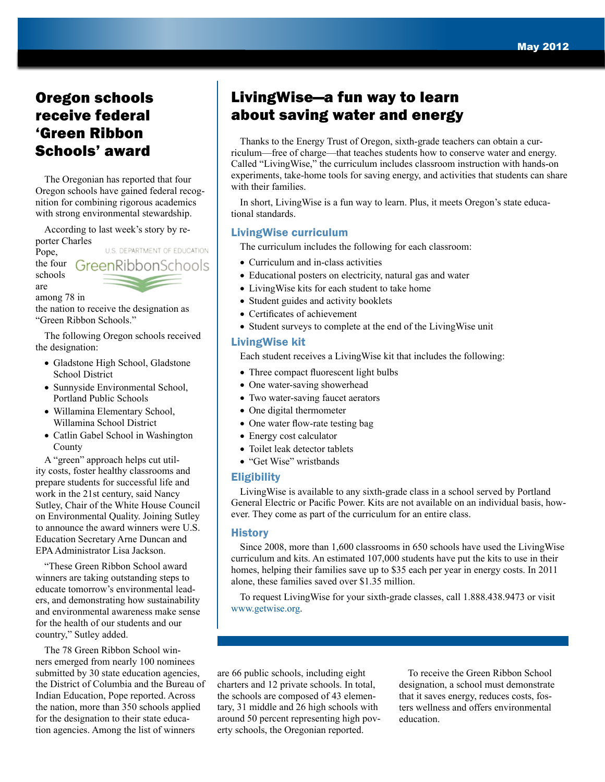## Oregon schools receive federal 'Green Ribbon

The Oregonian has reported that four Oregon schools have gained federal recognition for combining rigorous academics with strong environmental stewardship.

According to last week's story by reporter Charles

U.S. DEPARTMENT OF EDUCATION Pope, the four Green Ribbon Schools schools are

among 78 in

the nation to receive the designation as "Green Ribbon Schools."

The following Oregon schools received the designation:

- Gladstone High School, Gladstone School District
- Sunnyside Environmental School, Portland Public Schools
- Willamina Elementary School, Willamina School District
- Catlin Gabel School in Washington County

A "green" approach helps cut utility costs, foster healthy classrooms and prepare students for successful life and work in the 21st century, said Nancy Sutley, Chair of the White House Council on Environmental Quality. Joining Sutley to announce the award winners were U.S. Education Secretary Arne Duncan and EPA Administrator Lisa Jackson.

"These Green Ribbon School award winners are taking outstanding steps to educate tomorrow's environmental leaders, and demonstrating how sustainability and environmental awareness make sense for the health of our students and our country," Sutley added.

The 78 Green Ribbon School winners emerged from nearly 100 nominees submitted by 30 state education agencies, the District of Columbia and the Bureau of Indian Education, Pope reported. Across the nation, more than 350 schools applied for the designation to their state education agencies. Among the list of winners

## LivingWise—a fun way to learn about saving water and energy

Schools' award Thanks to the Energy Trust of Oregon, sixth-grade teachers can obtain a cur-<br>Schools' award riculum—free of charge—that teaches students how to conserve water and energy. Called "LivingWise," the curriculum includes classroom instruction with hands-on experiments, take-home tools for saving energy, and activities that students can share with their families.

> In short, LivingWise is a fun way to learn. Plus, it meets Oregon's state educational standards.

#### LivingWise curriculum

The curriculum includes the following for each classroom:

- Curriculum and in-class activities
- Educational posters on electricity, natural gas and water
- LivingWise kits for each student to take home
- Student guides and activity booklets
- Certificates of achievement
- Student surveys to complete at the end of the LivingWise unit

#### LivingWise kit

Each student receives a LivingWise kit that includes the following:

- Three compact fluorescent light bulbs
- One water-saving showerhead
- Two water-saving faucet aerators
- One digital thermometer
- One water flow-rate testing bag
- Energy cost calculator
- Toilet leak detector tablets
- "Get Wise" wristbands

#### **Eligibility**

LivingWise is available to any sixth-grade class in a school served by Portland General Electric or Pacific Power. Kits are not available on an individual basis, however. They come as part of the curriculum for an entire class.

#### History

Since 2008, more than 1,600 classrooms in 650 schools have used the LivingWise curriculum and kits. An estimated 107,000 students have put the kits to use in their homes, helping their families save up to \$35 each per year in energy costs. In 2011 alone, these families saved over \$1.35 million.

To request LivingWise for your sixth-grade classes, call 1.888.438.9473 or visit [www.getwise.org.](www.getwise.org)

are 66 public schools, including eight charters and 12 private schools. In total, the schools are composed of 43 elementary, 31 middle and 26 high schools with around 50 percent representing high poverty schools, the Oregonian reported.

To receive the Green Ribbon School designation, a school must demonstrate that it saves energy, reduces costs, fosters wellness and offers environmental education.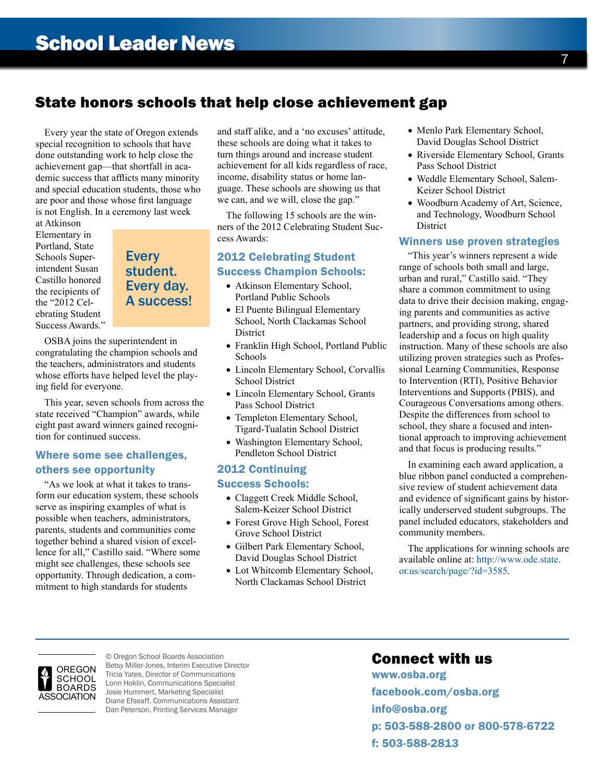## State honors schools that help close achievement gap

Every year the state of Oregon extends special recognition to schools that have done outstanding work to help close the achievement gap—that shortfall in academic success that afflicts many minority and special education students, those who are poor and those whose first language is not English. In a ceremony last week

at Atkinson Elementary in Portland, State Schools Superintendent Susan Castillo honored the recipients of the "2012 Celebrating Student Success Awards."

**Every** student. Every day. A success!

OSBA joins the superintendent in congratulating the champion schools and the teachers, administrators and students whose efforts have helped level the playing field for everyone.

This year, seven schools from across the state received "Champion" awards, while eight past award winners gained recognition for continued success.

#### Where some see challenges, others see opportunity

"As we look at what it takes to transform our education system, these schools serve as inspiring examples of what is possible when teachers, administrators, parents, students and communities come together behind a shared vision of excellence for all," Castillo said. "Where some might see challenges, these schools see opportunity. Through dedication, a commitment to high standards for students

and staff alike, and a 'no excuses' attitude, these schools are doing what it takes to turn things around and increase student achievement for all kids regardless of race, income, disability status or home language. These schools are showing us that we can, and we will, close the gap."

The following 15 schools are the winners of the 2012 Celebrating Student Success Awards:

#### 2012 Celebrating Student Success Champion Schools:

- Atkinson Elementary School, Portland Public Schools
- El Puente Bilingual Elementary School, North Clackamas School **District**
- Franklin High School, Portland Public Schools
- Lincoln Elementary School, Corvallis School District
- Lincoln Elementary School, Grants Pass School District
- Templeton Elementary School, Tigard-Tualatin School District
- Washington Elementary School, Pendleton School District

## 2012 Continuing

### Success Schools:

- Claggett Creek Middle School, Salem-Keizer School District
- Forest Grove High School, Forest Grove School District
- Gilbert Park Elementary School, David Douglas School District
- Lot Whitcomb Elementary School, North Clackamas School District
- Menlo Park Elementary School, David Douglas School District
- Riverside Elementary School, Grants Pass School District
- Weddle Elementary School, Salem-Keizer School District
- Woodburn Academy of Art, Science, and Technology, Woodburn School **District**

#### Winners use proven strategies

"This year's winners represent a wide range of schools both small and large, urban and rural," Castillo said. "They share a common commitment to using data to drive their decision making, engaging parents and communities as active partners, and providing strong, shared leadership and a focus on high quality instruction. Many of these schools are also utilizing proven strategies such as Professional Learning Communities, Response to Intervention (RTI), Positive Behavior Interventions and Supports (PBIS), and Courageous Conversations among others. Despite the differences from school to school, they share a focused and intentional approach to improving achievement and that focus is producing results."

In examining each award application, a blue ribbon panel conducted a comprehensive review of student achievement data and evidence of significant gains by historically underserved student subgroups. The panel included educators, stakeholders and community members.

The applications for winning schools are available online at: [http://www.ode.state.](http://www.ode.state.or.us/search/page/?id=3585) [or.us/search/page/?id=3585.](http://www.ode.state.or.us/search/page/?id=3585)



© Oregon School Boards Association Betsy Miller-Jones, Interim Executive Director Tricia Yates, Director of Communications Lonn Hoklin, Communications Specialist Josie Hummert, Marketing Specialist Diane Efseaff, Communications Assistant Dan Peterson, Printing Services Manager

### Connect with us

<www.osba.org> <facebook.com/osba.org> [info@osba.org](mailto:info%40osba.org?subject=) p: 503-588-2800 or 800-578-6722 f: 503-588-2813